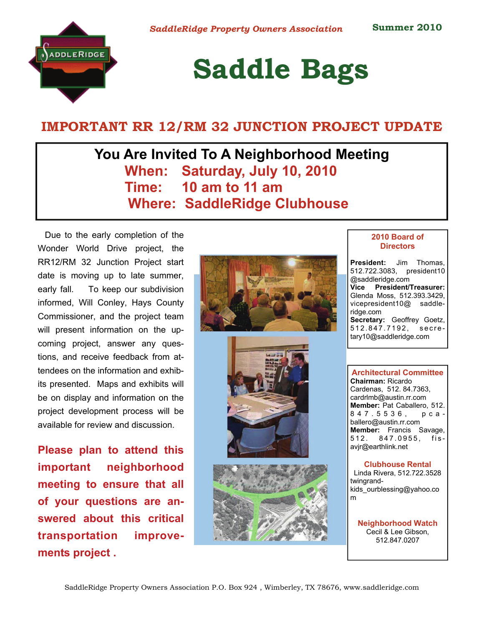

# **Saddle Bags**

## **IMPORTANT RR 12/RM 32 JUNCTION PROJECT UPDATE**

## **You Are Invited To A Neighborhood Meeting When: Saturday, July 10, 2010 Time: 10 am to 11 am Where: SaddleRidge Clubhouse**

Due to the early completion of the Wonder World Drive project, the RR12/RM 32 Junction Project start date is moving up to late summer, early fall. To keep our subdivision informed, Will Conley, Hays County Commissioner, and the project team will present information on the upcoming project, answer any questions, and receive feedback from attendees on the information and exhibits presented. Maps and exhibits will be on display and information on the project development process will be available for review and discussion.

**Please plan to attend this important neighborhood meeting to ensure that all of your questions are answered about this critical transportation improvements project .** 







#### **2010 Board of Directors**

**President:** Jim Thomas, 512.722.3083, president10 @saddleridge.com **Vice President/Treasurer:**  Glenda Moss, 512.393.3429, vicepresident10@ saddleridge.com **Secretary:** Geoffrey Goetz, 512.847.7192, secretary10@saddleridge.com

**Architectural Committee Chairman:** Ricardo Cardenas, 512. 84.7363, cardrlmb@austin.rr.com **Member:** Pat Caballero, 512. 847.5536, pcaballero@austin.rr.com **Member:** Francis Savage, 512. 847.0955, fisavjr@earthlink.net

#### **Clubhouse Rental**  Linda Rivera, 512.722.3528

twingrandkids\_ourblessing@yahoo.co m

**Neighborhood Watch**  Cecil & Lee Gibson, 512.847.0207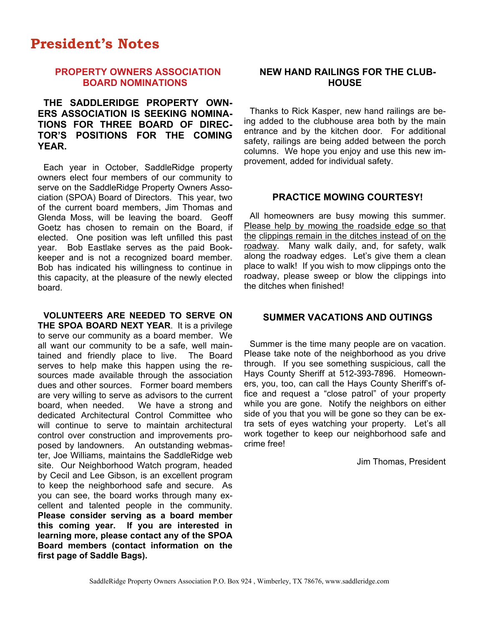## **President's Notes**

### **PROPERTY OWNERS ASSOCIATION BOARD NOMINATIONS**

### **THE SADDLERIDGE PROPERTY OWN-ERS ASSOCIATION IS SEEKING NOMINA-TIONS FOR THREE BOARD OF DIREC-TOR'S POSITIONS FOR THE COMING YEAR.**

Each year in October, SaddleRidge property owners elect four members of our community to serve on the SaddleRidge Property Owners Association (SPOA) Board of Directors. This year, two of the current board members, Jim Thomas and Glenda Moss, will be leaving the board. Geoff Goetz has chosen to remain on the Board, if elected. One position was left unfilled this past year. Bob Eastlake serves as the paid Bookkeeper and is not a recognized board member. Bob has indicated his willingness to continue in this capacity, at the pleasure of the newly elected board.

**VOLUNTEERS ARE NEEDED TO SERVE ON THE SPOA BOARD NEXT YEAR**. It is a privilege to serve our community as a board member. We all want our community to be a safe, well maintained and friendly place to live. The Board serves to help make this happen using the resources made available through the association dues and other sources. Former board members are very willing to serve as advisors to the current board, when needed. We have a strong and dedicated Architectural Control Committee who will continue to serve to maintain architectural control over construction and improvements proposed by landowners. An outstanding webmaster, Joe Williams, maintains the SaddleRidge web site. Our Neighborhood Watch program, headed by Cecil and Lee Gibson, is an excellent program to keep the neighborhood safe and secure. As you can see, the board works through many excellent and talented people in the community. **Please consider serving as a board member this coming year. If you are interested in learning more, please contact any of the SPOA Board members (contact information on the first page of Saddle Bags).** 

### **NEW HAND RAILINGS FOR THE CLUB-HOUSE**

Thanks to Rick Kasper, new hand railings are being added to the clubhouse area both by the main entrance and by the kitchen door. For additional safety, railings are being added between the porch columns. We hope you enjoy and use this new improvement, added for individual safety.

#### **PRACTICE MOWING COURTESY!**

All homeowners are busy mowing this summer. Please help by mowing the roadside edge so that the clippings remain in the ditches instead of on the roadway. Many walk daily, and, for safety, walk along the roadway edges. Let's give them a clean place to walk! If you wish to mow clippings onto the roadway, please sweep or blow the clippings into the ditches when finished!

#### **SUMMER VACATIONS AND OUTINGS**

Summer is the time many people are on vacation. Please take note of the neighborhood as you drive through. If you see something suspicious, call the Hays County Sheriff at 512-393-7896. Homeowners, you, too, can call the Hays County Sheriff's office and request a "close patrol" of your property while you are gone. Notify the neighbors on either side of you that you will be gone so they can be extra sets of eyes watching your property. Let's all work together to keep our neighborhood safe and crime free!

Jim Thomas, President